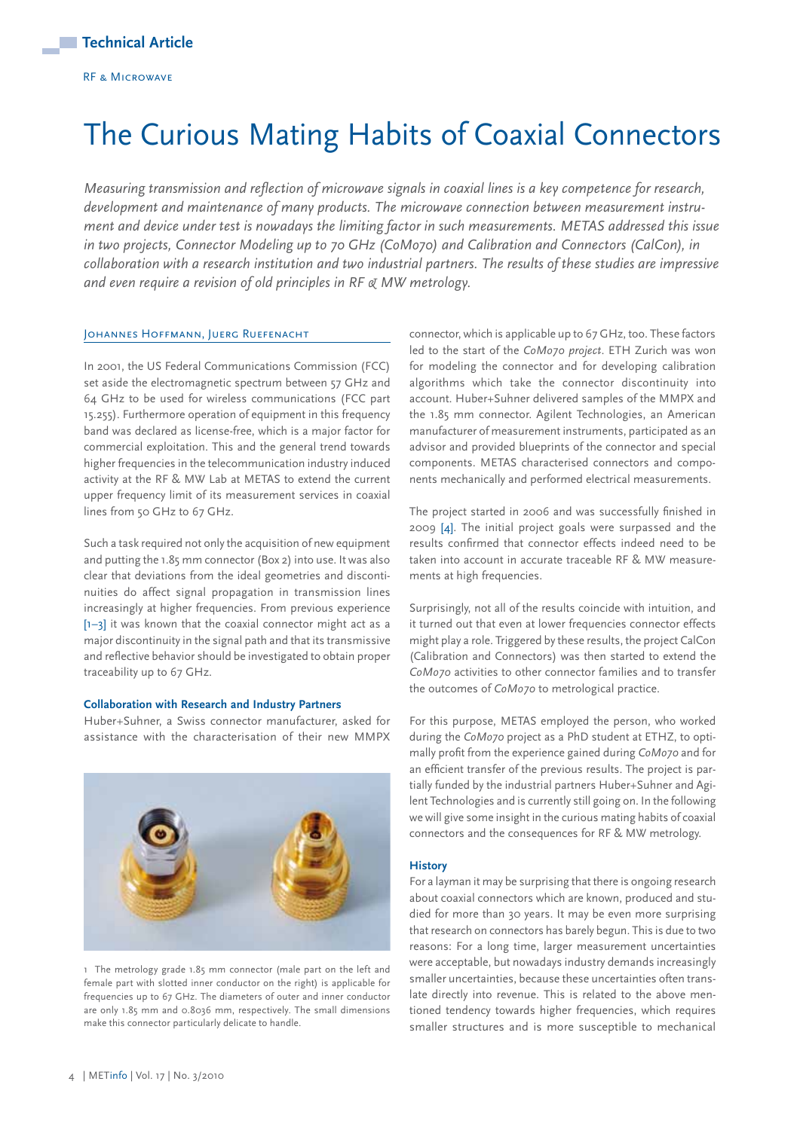# The Curious Mating Habits of Coaxial Connectors

*Measuring transmission and reflection of microwave signals in coaxial lines is a key competence for research, development and maintenance of many products. The microwave connection between measurement instrument and device under test is nowadays the limiting factor in such measurements. METAS addressed this issue in two projects, Connector Modeling up to 70 GHz (CoMo70) and Calibration and Connectors (CalCon), in collaboration with a research institution and two industrial partners. The results of these studies are impressive and even require a revision of old principles in RF & MW metrology.*

# JOHANNES HOFFMANN, JUERG RUEFENACHT

In 2001, the US Federal Communications Commission (FCC) set aside the electromagnetic spectrum between 57 GHz and 64 GHz to be used for wireless communications (FCC part 15.255). Furthermore operation of equipment in this frequency band was declared as license-free, which is a major factor for commercial exploitation. This and the general trend towards higher frequencies in the telecommunication industry induced activity at the RF & MW Lab at METAS to extend the current upper frequency limit of its measurement services in coaxial lines from 50 GHz to 67 GHz.

Such a task required not only the acquisition of new equipment and putting the 1.85 mm connector (Box 2) into use. It was also clear that deviations from the ideal geometries and discontinuities do affect signal propagation in transmission lines increasingly at higher frequencies. From previous experience [1–3] it was known that the coaxial connector might act as a major discontinuity in the signal path and that its transmissive and reflective behavior should be investigated to obtain proper traceability up to 67 GHz.

#### **Collaboration with Research and Industry Partners**

Huber+Suhner, a Swiss connector manufacturer, asked for assistance with the characterisation of their new MMPX



1 The metrology grade 1.85 mm connector (male part on the left and female part with slotted inner conductor on the right) is applicable for frequencies up to 67 GHz. The diameters of outer and inner conductor are only 1.85 mm and 0.8036 mm, respectively. The small dimensions make this connector particularly delicate to handle.

connector, which is applicable up to 67 GHz, too. These factors led to the start of the *CoMo70 project*. ETH Zurich was won for modeling the connector and for developing calibration algorithms which take the connector discontinuity into account. Huber+Suhner delivered samples of the MMPX and the 1.85 mm connector. Agilent Technologies, an American manufacturer of measurement instruments, participated as an advisor and provided blueprints of the connector and special components. METAS characterised connectors and components mechanically and performed electrical measurements.

The project started in 2006 and was successfully finished in 2009 [4]. The initial project goals were surpassed and the results confirmed that connector effects indeed need to be taken into account in accurate traceable RF & MW measurements at high frequencies.

Surprisingly, not all of the results coincide with intuition, and it turned out that even at lower frequencies connector effects might play a role. Triggered by these results, the project CalCon (Calibration and Connectors) was then started to extend the *CoMo70* activities to other connector families and to transfer the outcomes of *CoMo70* to metrological practice.

For this purpose, METAS employed the person, who worked during the *CoMo70* project as a PhD student at ETHZ, to optimally profit from the experience gained during *CoMo70* and for an efficient transfer of the previous results. The project is partially funded by the industrial partners Huber+Suhner and Agilent Technologies and is currently still going on. In the following we will give some insight in the curious mating habits of coaxial connectors and the consequences for RF & MW metrology.

#### **History**

For a layman it may be surprising that there is ongoing research about coaxial connectors which are known, produced and studied for more than 30 years. It may be even more surprising that research on connectors has barely begun. This is due to two reasons: For a long time, larger measurement uncertainties were acceptable, but nowadays industry demands increasingly smaller uncertainties, because these uncertainties often translate directly into revenue. This is related to the above mentioned tendency towards higher frequencies, which requires smaller structures and is more susceptible to mechanical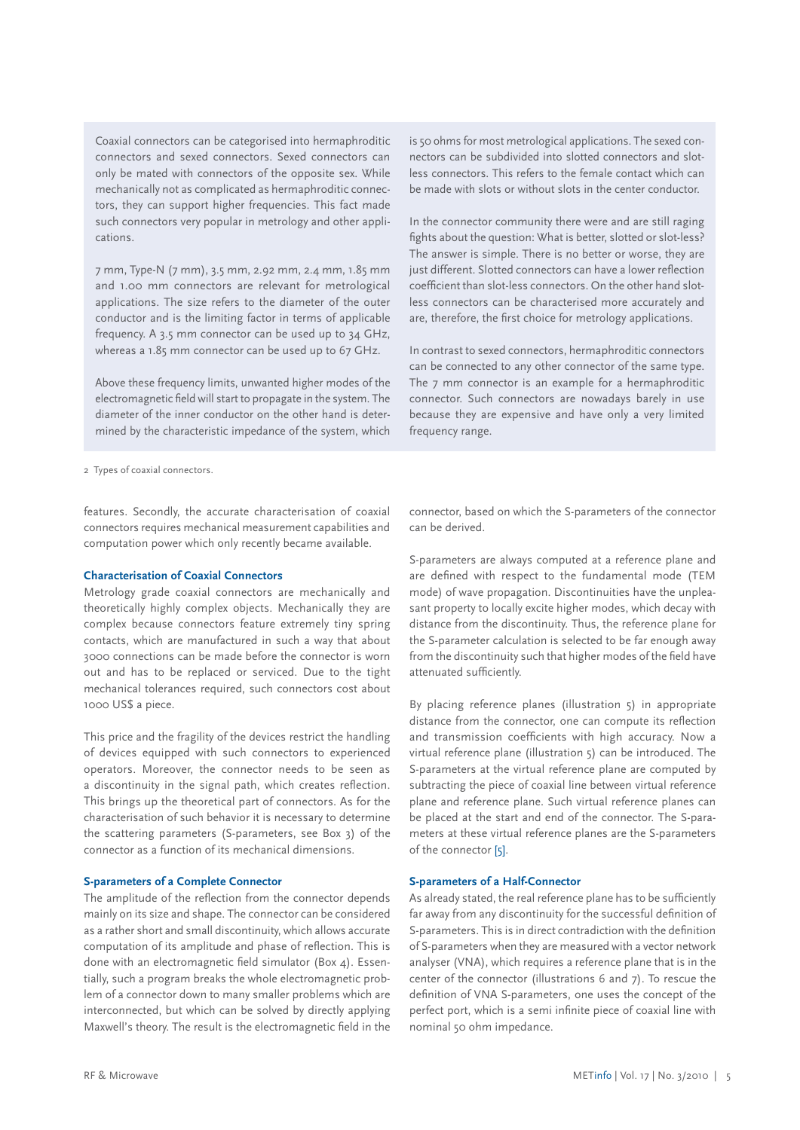Coaxial connectors can be categorised into hermaphroditic connectors and sexed connectors. Sexed connectors can only be mated with connectors of the opposite sex. While mechanically not as complicated as hermaphroditic connectors, they can support higher frequencies. This fact made such connectors very popular in metrology and other applications.

7 mm, Type-N (7 mm), 3.5 mm, 2.92 mm, 2.4 mm, 1.85 mm and 1.00 mm connectors are relevant for metrological applications. The size refers to the diameter of the outer conductor and is the limiting factor in terms of applicable frequency. A 3.5 mm connector can be used up to 34 GHz, whereas a 1.85 mm connector can be used up to 67 GHz.

Above these frequency limits, unwanted higher modes of the electromagnetic field will start to propagate in the system. The diameter of the inner conductor on the other hand is determined by the characteristic impedance of the system, which

nectors can be subdivided into slotted connectors and slotless connectors. This refers to the female contact which can be made with slots or without slots in the center conductor.

is 50 ohms for most metrological applications. The sexed con-

In the connector community there were and are still raging fights about the question: What is better, slotted or slot-less? The answer is simple. There is no better or worse, they are just different. Slotted connectors can have a lower reflection coefficient than slot-less connectors. On the other hand slotless connectors can be characterised more accurately and are, therefore, the first choice for metrology applications.

In contrast to sexed connectors, hermaphroditic connectors can be connected to any other connector of the same type. The 7 mm connector is an example for a hermaphroditic connector. Such connectors are nowadays barely in use because they are expensive and have only a very limited frequency range.

2 Types of coaxial connectors.

features. Secondly, the accurate characterisation of coaxial connectors requires mechanical measurement capabilities and computation power which only recently became available.

#### **Characterisation of Coaxial Connectors**

Metrology grade coaxial connectors are mechanically and theoretically highly complex objects. Mechanically they are complex because connectors feature extremely tiny spring contacts, which are manufactured in such a way that about 3000 connections can be made before the connector is worn out and has to be replaced or serviced. Due to the tight mechanical tolerances required, such connectors cost about 1000 US\$ a piece.

This price and the fragility of the devices restrict the handling of devices equipped with such connectors to experienced operators. Moreover, the connector needs to be seen as a discontinuity in the signal path, which creates reflection. This brings up the theoretical part of connectors. As for the characterisation of such behavior it is necessary to determine the scattering parameters (S-parameters, see Box 3) of the connector as a function of its mechanical dimensions.

# **S-parameters of a Complete Connector**

The amplitude of the reflection from the connector depends mainly on its size and shape. The connector can be considered as a rather short and small discontinuity, which allows accurate computation of its amplitude and phase of reflection. This is done with an electromagnetic field simulator (Box 4). Essentially, such a program breaks the whole electromagnetic problem of a connector down to many smaller problems which are interconnected, but which can be solved by directly applying Maxwell's theory. The result is the electromagnetic field in the connector, based on which the S-parameters of the connector can be derived.

S-parameters are always computed at a reference plane and are defined with respect to the fundamental mode (TEM mode) of wave propagation. Discontinuities have the unpleasant property to locally excite higher modes, which decay with distance from the discontinuity. Thus, the reference plane for the S-parameter calculation is selected to be far enough away from the discontinuity such that higher modes of the field have attenuated sufficiently.

By placing reference planes (illustration 5) in appropriate distance from the connector, one can compute its reflection and transmission coefficients with high accuracy. Now a virtual reference plane (illustration 5) can be introduced. The S-parameters at the virtual reference plane are computed by subtracting the piece of coaxial line between virtual reference plane and reference plane. Such virtual reference planes can be placed at the start and end of the connector. The S-parameters at these virtual reference planes are the S-parameters of the connector [5].

# **S-parameters of a Half-Connector**

As already stated, the real reference plane has to be sufficiently far away from any discontinuity for the successful definition of S-parameters. This is in direct contradiction with the definition of S-parameters when they are measured with a vector network analyser (VNA), which requires a reference plane that is in the center of the connector (illustrations 6 and 7). To rescue the definition of VNA S-parameters, one uses the concept of the perfect port, which is a semi infinite piece of coaxial line with nominal 50 ohm impedance.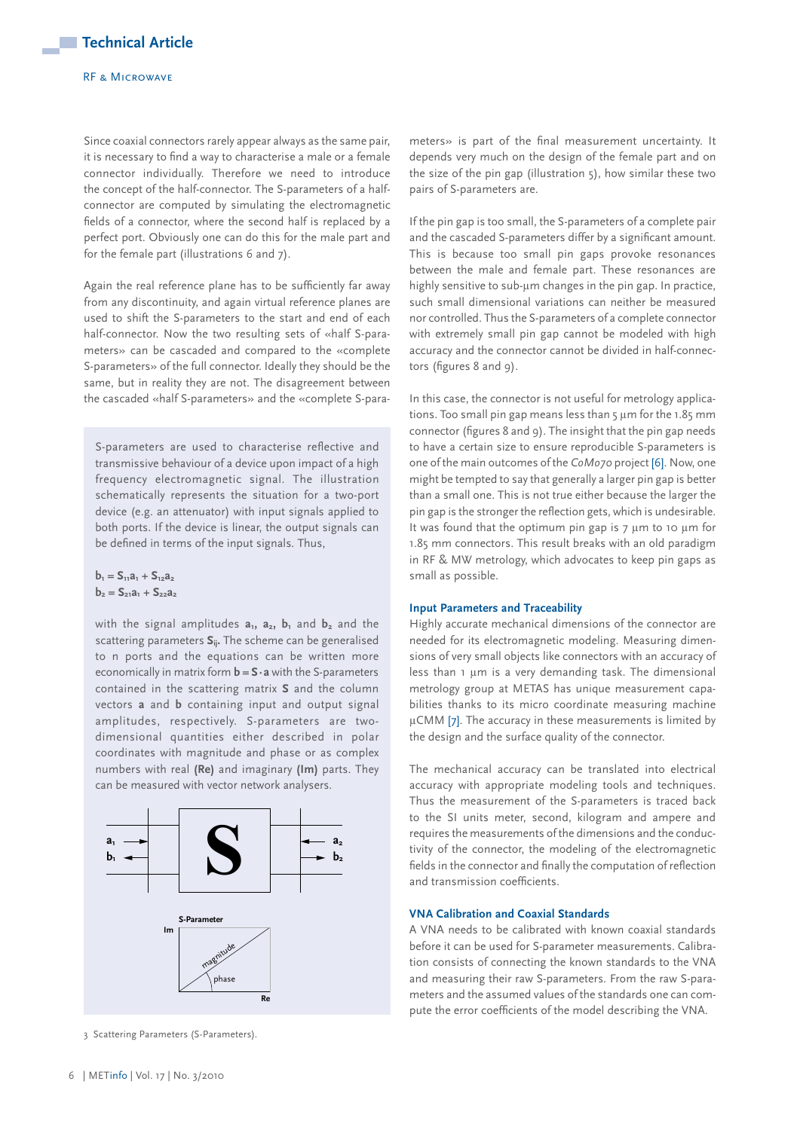#### RF & Microwave

Since coaxial connectors rarely appear always as the same pair, it is necessary to find a way to characterise a male or a female connector individually. Therefore we need to introduce the concept of the half-connector. The S-parameters of a halfconnector are computed by simulating the electromagnetic fields of a connector, where the second half is replaced by a perfect port. Obviously one can do this for the male part and for the female part (illustrations 6 and 7).

Again the real reference plane has to be sufficiently far away from any discontinuity, and again virtual reference planes are used to shift the S-parameters to the start and end of each half-connector. Now the two resulting sets of «half S-parameters» can be cascaded and compared to the «complete S-parameters» of the full connector. Ideally they should be the same, but in reality they are not. The disagreement between the cascaded «half S-parameters» and the «complete S-para-

S-parameters are used to characterise reflective and transmissive behaviour of a device upon impact of a high frequency electromagnetic signal. The illustration schematically represents the situation for a two-port device (e.g. an attenuator) with input signals applied to both ports. If the device is linear, the output signals can be defined in terms of the input signals. Thus,

 $b_1 = S_{11}a_1 + S_{12}a_2$  $b_2 = S_{21}a_1 + S_{22}a_2$ 

with the signal amplitudes  $a_1$ ,  $a_2$ ,  $b_1$  and  $b_2$  and the scattering parameters **Sij.** The scheme can be generalised to n ports and the equations can be written more economically in matrix form **b = S·a** with the S-parameters contained in the scattering matrix **S** and the column vectors **a** and **b** containing input and output signal amplitudes, respectively. S-parameters are twodimensional quantities either described in polar coordinates with magnitude and phase or as complex numbers with real **(Re)** and imaginary **(Im)** parts. They can be measured with vector network analysers.



3 Scattering Parameters (S-Parameters).

meters» is part of the final measurement uncertainty. It depends very much on the design of the female part and on the size of the pin gap (illustration 5), how similar these two pairs of S-parameters are.

If the pin gap is too small, the S-parameters of a complete pair and the cascaded S-parameters differ by a significant amount. This is because too small pin gaps provoke resonances between the male and female part. These resonances are highly sensitive to sub-um changes in the pin gap. In practice, such small dimensional variations can neither be measured nor controlled. Thus the S-parameters of a complete connector with extremely small pin gap cannot be modeled with high accuracy and the connector cannot be divided in half-connectors (figures 8 and 9).

In this case, the connector is not useful for metrology applications. Too small pin gap means less than 5 µm for the 1.85 mm connector (figures 8 and 9). The insight that the pin gap needs to have a certain size to ensure reproducible S-parameters is one of the main outcomes of the *CoMo70* project [6]. Now, one might be tempted to say that generally a larger pin gap is better than a small one. This is not true either because the larger the pin gap is the stronger the reflection gets, which is undesirable. It was found that the optimum pin gap is 7 um to 10 um for 1.85 mm connectors. This result breaks with an old paradigm in RF & MW metrology, which advocates to keep pin gaps as small as possible.

# **Input Parameters and Traceability**

Highly accurate mechanical dimensions of the connector are needed for its electromagnetic modeling. Measuring dimensions of very small objects like connectors with an accuracy of less than 1 µm is a very demanding task. The dimensional metrology group at METAS has unique measurement capabilities thanks to its micro coordinate measuring machine µCMM [7]. The accuracy in these measurements is limited by the design and the surface quality of the connector.

The mechanical accuracy can be translated into electrical accuracy with appropriate modeling tools and techniques. Thus the measurement of the S-parameters is traced back to the SI units meter, second, kilogram and ampere and requires the measurements of the dimensions and the conductivity of the connector, the modeling of the electromagnetic fields in the connector and finally the computation of reflection and transmission coefficients.

# **VNA Calibration and Coaxial Standards**

A VNA needs to be calibrated with known coaxial standards before it can be used for S-parameter measurements. Calibration consists of connecting the known standards to the VNA and measuring their raw S-parameters. From the raw S-parameters and the assumed values of the standards one can compute the error coefficients of the model describing the VNA.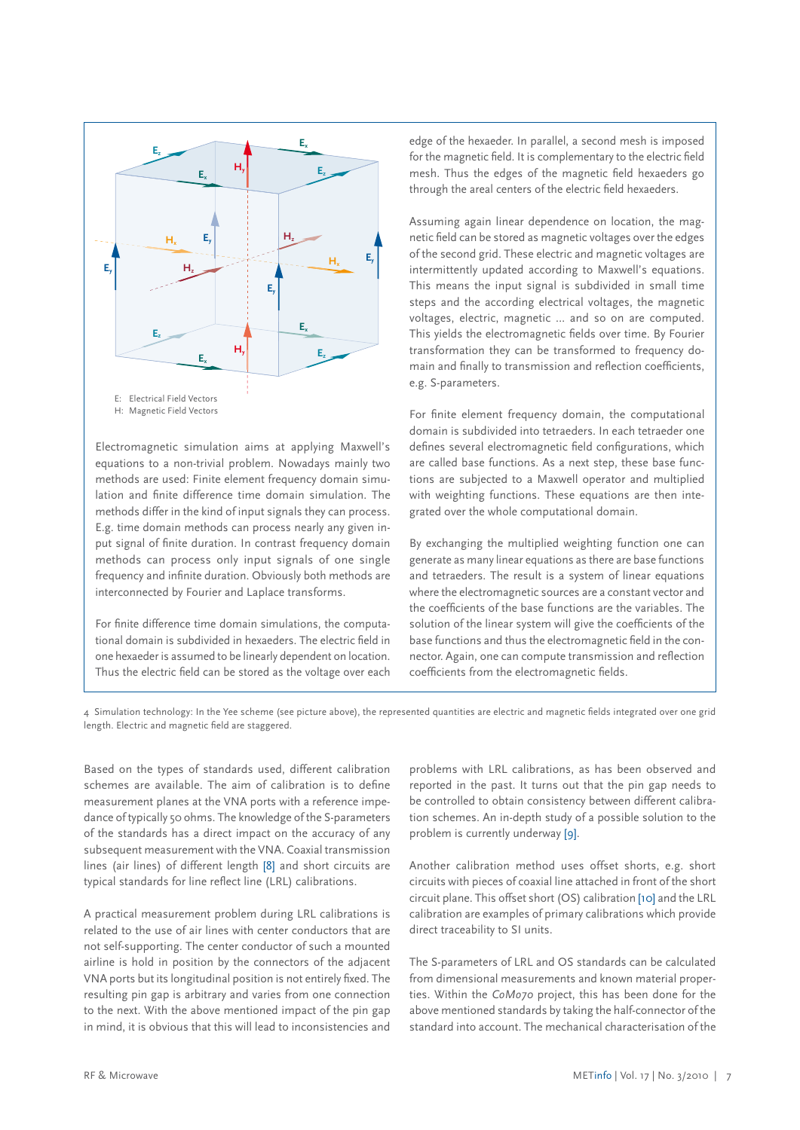

Electromagnetic simulation aims at applying Maxwell's equations to a non-trivial problem. Nowadays mainly two methods are used: Finite element frequency domain simulation and finite difference time domain simulation. The methods differ in the kind of input signals they can process. E.g. time domain methods can process nearly any given input signal of finite duration. In contrast frequency domain methods can process only input signals of one single frequency and infinite duration. Obviously both methods are interconnected by Fourier and Laplace transforms.

For finite difference time domain simulations, the computational domain is subdivided in hexaeders. The electric field in one hexaeder is assumed to be linearly dependent on location. Thus the electric field can be stored as the voltage over each

edge of the hexaeder. In parallel, a second mesh is imposed for the magnetic field. It is complementary to the electric field mesh. Thus the edges of the magnetic field hexaeders go through the areal centers of the electric field hexaeders. **Hy**

Assuming again linear dependence on location, the magnetic field can be stored as magnetic voltages over the edges **Ex** of the second grid. These electric and magnetic voltages are **Ey H<sub>x</sub> E**<sub>*z*</sub> **E**<sub>*z*</sub> **E**<sub>*z*</sub> intermittently updated according to Maxwell's equations. This means the input signal is subdivided in small time steps and the according electrical voltages, the magnetic voltages, electric, magnetic … and so on are computed. This yields the electromagnetic fields over time. By Fourier transformation they can be transformed to frequency domain and finally to transmission and reflection coefficients, e.g. S-parameters.

> For finite element frequency domain, the computational domain is subdivided into tetraeders. In each tetraeder one defines several electromagnetic field configurations, which are called base functions. As a next step, these base functions are subjected to a Maxwell operator and multiplied with weighting functions. These equations are then integrated over the whole computational domain.

> By exchanging the multiplied weighting function one can generate as many linear equations as there are base functions and tetraeders. The result is a system of linear equations where the electromagnetic sources are a constant vector and the coefficients of the base functions are the variables. The solution of the linear system will give the coefficients of the base functions and thus the electromagnetic field in the connector. Again, one can compute transmission and reflection coefficients from the electromagnetic fields.

4 Simulation technology: In the Yee scheme (see picture above), the represented quantities are electric and magnetic fields integrated over one grid length. Electric and magnetic field are staggered.

Based on the types of standards used, different calibration schemes are available. The aim of calibration is to define measurement planes at the VNA ports with a reference impedance of typically 50 ohms. The knowledge of the S-parameters of the standards has a direct impact on the accuracy of any subsequent measurement with the VNA. Coaxial transmission lines (air lines) of different length [8] and short circuits are typical standards for line reflect line (LRL) calibrations.

A practical measurement problem during LRL calibrations is related to the use of air lines with center conductors that are not self-supporting. The center conductor of such a mounted airline is hold in position by the connectors of the adjacent VNA ports but its longitudinal position is not entirely fixed. The resulting pin gap is arbitrary and varies from one connection to the next. With the above mentioned impact of the pin gap in mind, it is obvious that this will lead to inconsistencies and

problems with LRL calibrations, as has been observed and reported in the past. It turns out that the pin gap needs to be controlled to obtain consistency between different calibration schemes. An in-depth study of a possible solution to the problem is currently underway [9].

Another calibration method uses offset shorts, e.g. short circuits with pieces of coaxial line attached in front of the short circuit plane. This offset short (OS) calibration [10] and the LRL calibration are examples of primary calibrations which provide direct traceability to SI units.

The S-parameters of LRL and OS standards can be calculated from dimensional measurements and known material properties. Within the *CoMo70* project, this has been done for the above mentioned standards by taking the half-connector of the standard into account. The mechanical characterisation of the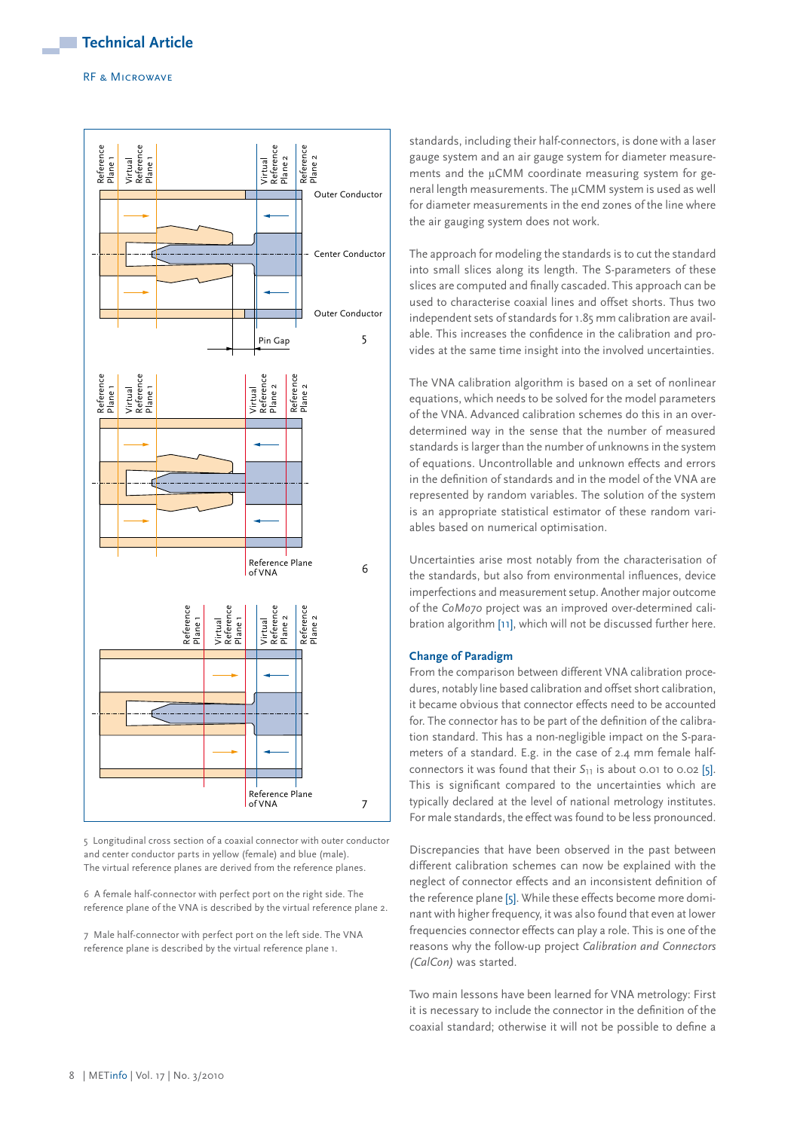

5 Longitudinal cross section of a coaxial connector with outer conductor and center conductor parts in yellow (female) and blue (male). The virtual reference planes are derived from the reference planes.

6 A female half-connector with perfect port on the right side. The reference plane of the VNA is described by the virtual reference plane 2.

7 Male half-connector with perfect port on the left side. The VNA reference plane is described by the virtual reference plane 1.

standards, including their half-connectors, is done with a laser gauge system and an air gauge system for diameter measurements and the µCMM coordinate measuring system for general length measurements. The µCMM system is used as well for diameter measurements in the end zones of the line where the air gauging system does not work.

The approach for modeling the standards is to cut the standard into small slices along its length. The S-parameters of these slices are computed and finally cascaded. This approach can be used to characterise coaxial lines and offset shorts. Thus two independent sets of standards for 1.85 mm calibration are available. This increases the confidence in the calibration and provides at the same time insight into the involved uncertainties.

The VNA calibration algorithm is based on a set of nonlinear equations, which needs to be solved for the model parameters of the VNA. Advanced calibration schemes do this in an overdetermined way in the sense that the number of measured standards is larger than the number of unknowns in the system of equations. Uncontrollable and unknown effects and errors in the definition of standards and in the model of the VNA are represented by random variables. The solution of the system is an appropriate statistical estimator of these random variables based on numerical optimisation.

Uncertainties arise most notably from the characterisation of the standards, but also from environmental influences, device imperfections and measurement setup. Another major outcome of the *CoMo70* project was an improved over-determined calibration algorithm [11], which will not be discussed further here.

# **Change of Paradigm**

From the comparison between different VNA calibration procedures, notably line based calibration and offset short calibration, it became obvious that connector effects need to be accounted for. The connector has to be part of the definition of the calibration standard. This has a non-negligible impact on the S-parameters of a standard. E.g. in the case of 2.4 mm female halfconnectors it was found that their *S*<sup>11</sup> is about 0.01 to 0.02 [5]. This is significant compared to the uncertainties which are typically declared at the level of national metrology institutes. For male standards, the effect was found to be less pronounced.

Discrepancies that have been observed in the past between different calibration schemes can now be explained with the neglect of connector effects and an inconsistent definition of the reference plane [5]. While these effects become more dominant with higher frequency, it was also found that even at lower frequencies connector effects can play a role. This is one of the reasons why the follow-up project *Calibration and Connectors (CalCon)* was started.

Two main lessons have been learned for VNA metrology: First it is necessary to include the connector in the definition of the coaxial standard; otherwise it will not be possible to define a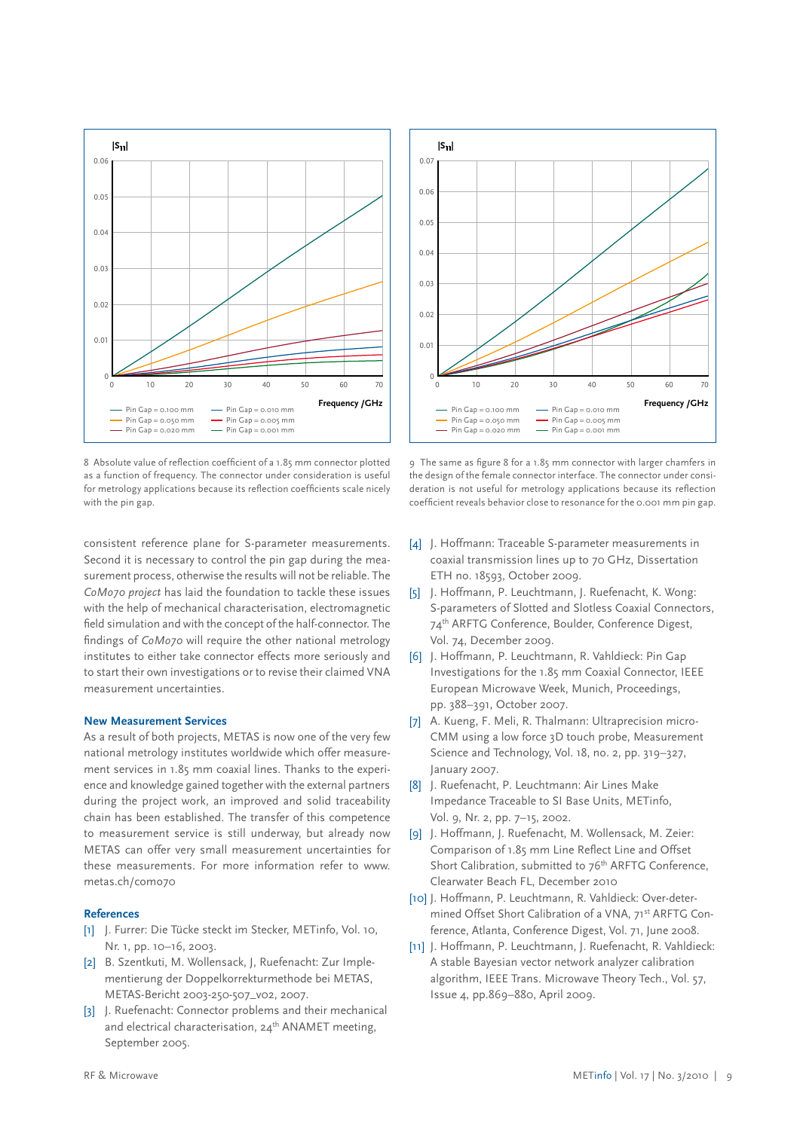

8 Absolute value of reflection coefficient of a 1.85 mm connector plotted as a function of frequency. The connector under consideration is useful for metrology applications because its reflection coefficients scale nicely with the pin gap.

consistent reference plane for S-parameter measurements. Second it is necessary to control the pin gap during the measurement process, otherwise the results will not be reliable. The *CoMo70 project* has laid the foundation to tackle these issues with the help of mechanical characterisation, electromagnetic field simulation and with the concept of the half-connector. The findings of *CoMo70* will require the other national metrology institutes to either take connector effects more seriously and to start their own investigations or to revise their claimed VNA measurement uncertainties.

#### **New Measurement Services**

As a result of both projects, METAS is now one of the very few national metrology institutes worldwide which offer measurement services in 1.85 mm coaxial lines. Thanks to the experience and knowledge gained together with the external partners during the project work, an improved and solid traceability chain has been established. The transfer of this competence to measurement service is still underway, but already now METAS can offer very small measurement uncertainties for these measurements. For more information refer to www. metas.ch/como70

#### **References**

- [1] J. Furrer: Die Tücke steckt im Stecker, METinfo, Vol. 10, Nr. 1, pp. 10–16, 2003.
- [2] B. Szentkuti, M. Wollensack, J, Ruefenacht: Zur Implementierung der Doppelkorrekturmethode bei METAS, METAS-Bericht 2003-250-507\_v02, 2007.
- [3] J. Ruefenacht: Connector problems and their mechanical and electrical characterisation,  $24<sup>th</sup>$  ANAMET meeting, September 2005.



9 The same as figure 8 for a 1.85 mm connector with larger chamfers in the design of the female connector interface. The connector under consideration is not useful for metrology applications because its reflection coefficient reveals behavior close to resonance for the 0.001 mm pin gap.

- [4] J. Hoffmann: Traceable S-parameter measurements in coaxial transmission lines up to 70 GHz, Dissertation ETH no. 18593, October 2009.
- [5] J. Hoffmann, P. Leuchtmann, J. Ruefenacht, K. Wong: S-parameters of Slotted and Slotless Coaxial Connectors, 74<sup>th</sup> ARFTG Conference, Boulder, Conference Digest, Vol. 74, December 2009.
- [6] J. Hoffmann, P. Leuchtmann, R. Vahldieck: Pin Gap Investigations for the 1.85 mm Coaxial Connector, IEEE European Microwave Week, Munich, Proceedings, pp. 388–391, October 2007.
- [7] A. Kueng, F. Meli, R. Thalmann: Ultraprecision micro-CMM using a low force 3D touch probe, Measurement Science and Technology, Vol. 18, no. 2, pp. 319–327, January 2007.
- [8] J. Ruefenacht, P. Leuchtmann: Air Lines Make Impedance Traceable to SI Base Units, METinfo, Vol. 9, Nr. 2, pp. 7–15, 2002.
- [9] J. Hoffmann, J. Ruefenacht, M. Wollensack, M. Zeier: Comparison of 1.85 mm Line Reflect Line and Offset Short Calibration, submitted to 76<sup>th</sup> ARFTG Conference, Clearwater Beach FL, December 2010
- [10] J. Hoffmann, P. Leuchtmann, R. Vahldieck: Over-determined Offset Short Calibration of a VNA, 71<sup>st</sup> ARFTG Conference, Atlanta, Conference Digest, Vol. 71, June 2008.
- [11] J. Hoffmann, P. Leuchtmann, J. Ruefenacht, R. Vahldieck: A stable Bayesian vector network analyzer calibration algorithm, IEEE Trans. Microwave Theory Tech., Vol. 57, Issue 4, pp.869–880, April 2009.